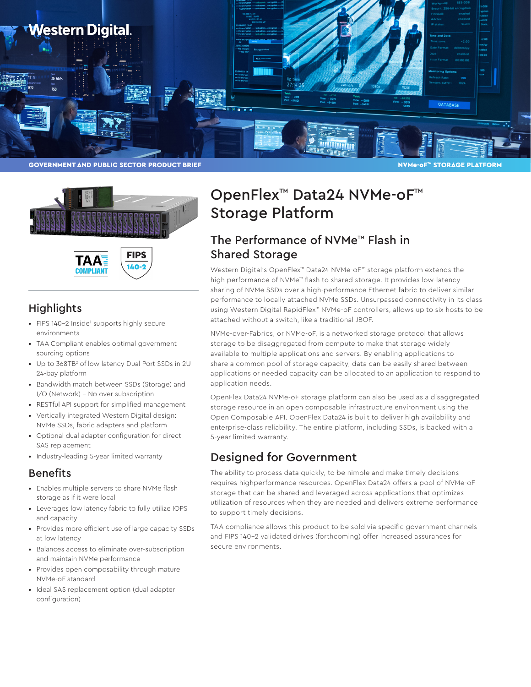



140

ΤΔΔ **COMPLIANT** 

### **Highlights**

- FIPS 140-2 Inside<sup>1</sup> supports highly secure environments
- TAA Compliant enables optimal government sourcing options
- Up to 368TB<sup>2</sup> of low latency Dual Port SSDs in 2U 24-bay platform
- Bandwidth match between SSDs (Storage) and I/O (Network) – No over subscription
- RESTful API support for simplified management
- Vertically integrated Western Digital design: NVMe SSDs, fabric adapters and platform
- Optional dual adapter configuration for direct SAS replacement
- Industry-leading 5-year limited warranty

### Benefits

- Enables multiple servers to share NVMe flash storage as if it were local
- Leverages low latency fabric to fully utilize IOPS and capacity
- Provides more efficient use of large capacity SSDs at low latency
- Balances access to eliminate over-subscription and maintain NVMe performance
- Provides open composability through mature NVMe-oF standard
- Ideal SAS replacement option (dual adapter configuration)

# OpenFlex™ Data24 NVMe-oF™ Storage Platform

### The Performance of NVMe™ Flash in Shared Storage

Western Digital's OpenFlex™ Data24 NVMe-oF™ storage platform extends the high performance of NVMe™ flash to shared storage. It provides low-latency sharing of NVMe SSDs over a high-performance Ethernet fabric to deliver similar performance to locally attached NVMe SSDs. Unsurpassed connectivity in its class using Western Digital RapidFlex™ NVMe-oF controllers, allows up to six hosts to be attached without a switch, like a traditional JBOF.

NVMe-over-Fabrics, or NVMe-oF, is a networked storage protocol that allows storage to be disaggregated from compute to make that storage widely available to multiple applications and servers. By enabling applications to share a common pool of storage capacity, data can be easily shared between applications or needed capacity can be allocated to an application to respond to application needs.

OpenFlex Data24 NVMe-oF storage platform can also be used as a disaggregated storage resource in an open composable infrastructure environment using the Open Composable API. OpenFlex Data24 is built to deliver high availability and enterprise-class reliability. The entire platform, including SSDs, is backed with a 5-year limited warranty.

### Designed for Government

The ability to process data quickly, to be nimble and make timely decisions requires highperformance resources. OpenFlex Data24 offers a pool of NVMe-oF storage that can be shared and leveraged across applications that optimizes utilization of resources when they are needed and delivers extreme performance to support timely decisions.

TAA compliance allows this product to be sold via specific government channels and FIPS 140-2 validated drives (forthcoming) offer increased assurances for secure environments.